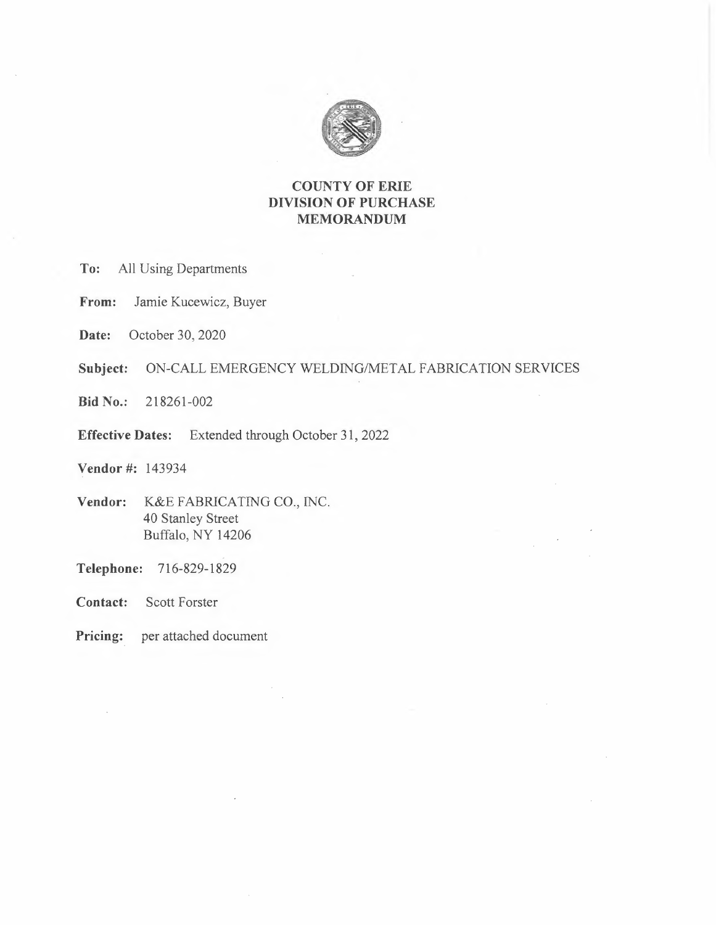

# **COUNTY OF ERIE DIVISION OF PURCHASE MEMORANDUM**

**To:** All Using Departments

**From:** Jamie Kucewicz, Buyer

**Date:** October 30, 2020

**Subject:** ON-CALL EMERGENCY WELDING/METAL FABRICATION SERVICES

**Bid No.:** 218261-002

**Effective Dates:** Extended through October 31, 2022

**Vendor#:** 143934

- **Vendor:** K&E FABRICATING CO., INC. 40 Stanley Street Buffalo, NY 14206
- **Telephone:** 716-829-1829
- **Contact:** Scott Forster
- **Pricing:** per attached document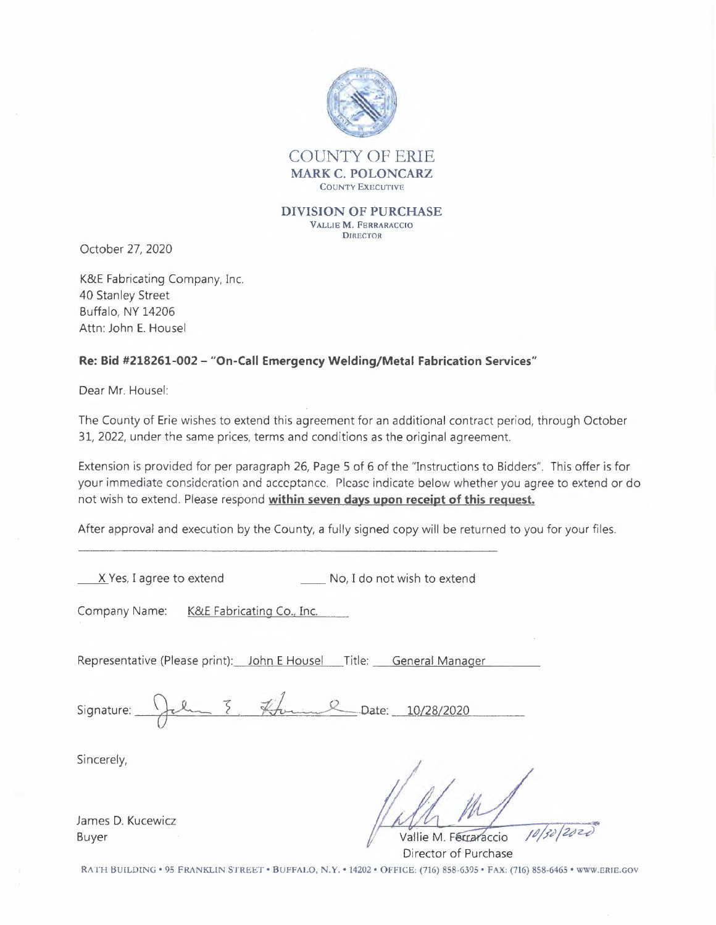

October 27, 2020

K&E Fabricating Company, Inc. 40 Stanley Street Buffalo, NY 14206 Attn: John E. Housel

# **Re: Bid #218261-002 - "On-Call Emergency Welding/Metal Fabrication Services"**

Dear Mr. Housel:

The County of Erie wishes to extend this agreement for an additional contract period, through October 31, 2022, under the same prices, terms and conditions as the original agreement.

Extension is provided for per paragraph 26, Page 5 of 6 of the "Instructions to Bidders". This offer is for your immediate consideration and acceptance. Please indicate below whether you agree to extend or do not wish to extend. Please respond **within seven days upon receipt of this request.** 

After approval and execution by the County, a fully signed copy will be returned to you for your files.

X Yes, I agree to extend No, I do not wish to extend

Company Name: K&E Fabricating Co., Inc.

| Company Name:                                                       | <u> K&amp;E Fabricating Co., Inc.</u> |  |
|---------------------------------------------------------------------|---------------------------------------|--|
| Representative (Please print): John E Housel Title: General Manager |                                       |  |
| Signature: Jelm 8. Hommel Date: 10/28/2020                          |                                       |  |

Sincerely,

James D. Kucewicz Buyer

Vallie M. Ferraraccio Director of Purchase

RATH BUILDING• 95 FRANKLIN STREET• BUFFALO, **N.Y. •** 14202 • OFFICE: (716) 858-6395 • FAX: (716) 858-6465 • WWW.ERIE.GOV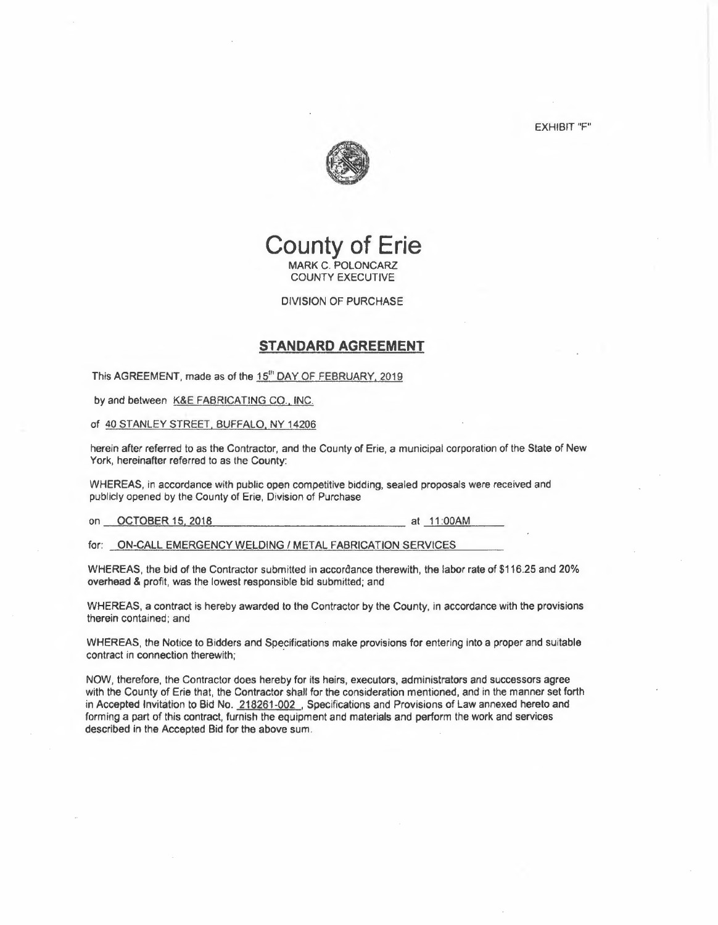EXHIBIT "F"



# **County of Erie MARK** C. POLONCARZ COUNTY EXECUTIVE

DIVISION OF PURCHASE

# **STANDARD AGREEMENT**

This AGREEMENT, made as of the 15<sup>th</sup> DAY OF FEBRUARY, 2019

by and between K&E FABRICATING CO., INC.

of 40 STANLEY STREET. BUFFALO, NY 14206

herein after referred to as the Contractor, and the County of Erie, a municipal corporation of the State of New York, hereinafter referred to as the County:

WHEREAS, in accordance with public open competitive bidding, sealed proposals were received and publicly opened by the County of Erie, Division of Purchase

on OCTOBER 15, 2018 at 11:00AM

for: ON-CALL EMERGENCY WELDING/ METAL FABRICATION SERVICES

WHEREAS, the bid of the Contractor submitted in accordance therewith, the labor rate of \$116.25 and 20% overhead & profit, was the lowest responsible bid submitted; and

WHEREAS, a contract is hereby awarded *to* the Contractor by the County, in accordance with the provisions therein contained; and

WHEREAS, the Notice to Bidders and Specifications make provisions for entering into a proper and suitable contract in connection therewith;

NOW, therefore, the Contractor does hereby for its heirs, executors, administrators and successors agree with the County of Erie that, the Contractor shall for the consideration mentioned, and in the manner set forth in Accepted Invitation to Bid No. 218261-002., Specifications and Provisions of Law annexed hereto and forming a part of this contract, furnish the equipment and materials and perform the work and services described in the Accepted Bid for the above sum.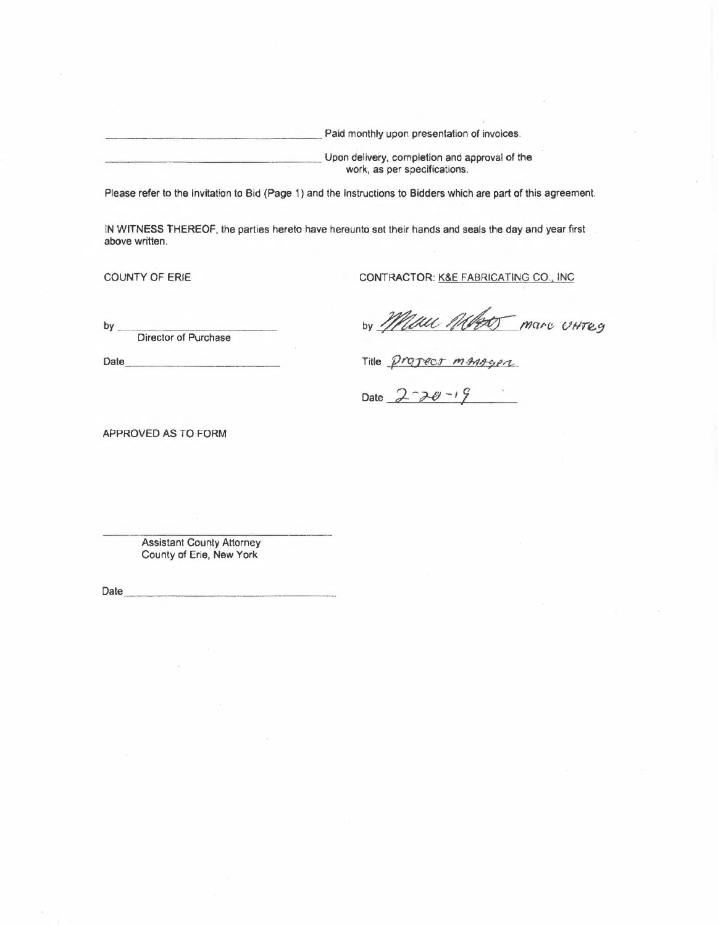| Paid monthly upon presentation of invoices.   |
|-----------------------------------------------|
| Upon delivery, completion and approval of the |
| work, as per specifications.                  |

Please refer to the Invitation to Bid (Page 1) and the Instructions to Bidders which are part of this agreement.

IN WITNESS THEREOF, the parties hereto have hereunto set their hands and seals the day and year first above written.

Date

COUNTY OF ERIE CONTRACTOR: K&E FABRICATING CO., INC

by Mau Withor marc UHTES

Title propect manager

Date  $2 - 70 - 19$ 

APPROVED AS TO FORM

Assistant County Attorney County of Erie, New York

by  $\overline{\phantom{a}}$ Director of Purchase

Date \_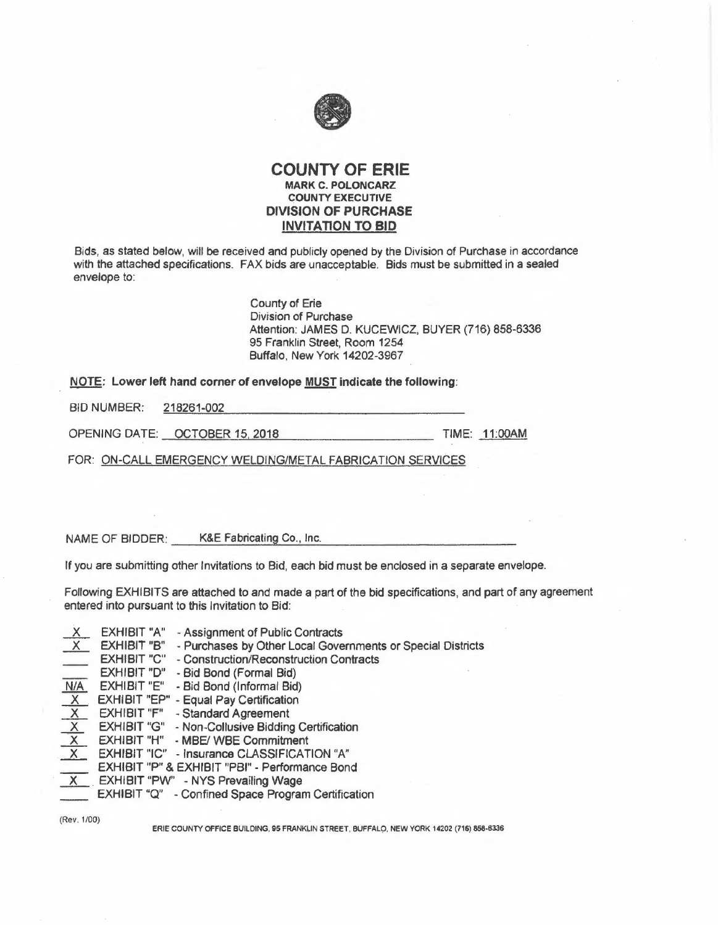

# **COUNTY OF ERIE MARK C. POLONCARZ COUNTY EXECUTIVE DIVISION OF PURCHASE INVITATION TO BID**

Bids, as stated below, will be received and publicly opened by the Division of Purchase in accordance with the attached specifications. FAX bids are unacceptable. Bids must be submitted in a sealed envelope to:

> County of Erie Division of Purchase Attention: JAMES O. KUCEWICZ, BUYER (716) 858-6336 95 Franklin Street, Room 1254 Buffalo, New York 14202-3967

NOTE: Lower left hand corner of envelope <u>MUST</u> indicate the following:<br>BID NUMBER: 218261-002

OPENING DATE: OCTOBER 15, 2018 TIME: 11:00AM

FOR: ON-CALL EMERGENCY WELDING/METAL FABRICATION SERVICES

NAME OF BIDDER: K&E Fabricating Co., Inc.

If you are submitting other Invitations to Bid, each bid must be enclosed in a separate envelope.

Following EXHIBITS are attached to and made a part of the bid specifications, and part of any agreement entered into pursuant to this Invitation to Bid:

| $\frac{X}{X}$            | <b>EXHIBIT "A"</b> | - Assignment of Public Contracts                            |
|--------------------------|--------------------|-------------------------------------------------------------|
|                          | <b>EXHIBIT "B"</b> | - Purchases by Other Local Governments or Special Districts |
| $\frac{\sqrt{N/A}}{N/A}$ | <b>EXHIBIT "C"</b> | - Construction/Reconstruction Contracts                     |
|                          | <b>EXHIBIT "D"</b> | - Bid Bond (Formal Bid)                                     |
|                          | EXHIBIT "E"        | - Bid Bond (Informal Bid)                                   |
| $\frac{X}{X}$            |                    | EXHIBIT "EP" - Equal Pay Certification                      |
|                          | <b>EXHIBIT "F"</b> | - Standard Agreement                                        |
|                          | <b>EXHIBIT "G"</b> | - Non-Collusive Bidding Certification                       |
|                          | EXHIBIT "H"        | - MBE/ WBE Commitment                                       |
|                          |                    | <b>EXHIBIT "IC" - Insurance CLASSIFICATION "A"</b>          |
|                          |                    | EXHIBIT "P" & EXHIBIT "PBI" - Performance Bond              |
| X                        |                    | EXHIBIT "PW" - NYS Prevailing Wage                          |
|                          |                    | EXHIBIT "Q" - Confined Space Program Certification          |
|                          |                    |                                                             |

(Rev. 1/00)

ERIE COUNTY OFFICE BUILDING, 95 FRANKLIN STREET, BUFFALÇl, NEW YORK 14202 (716) 858-6336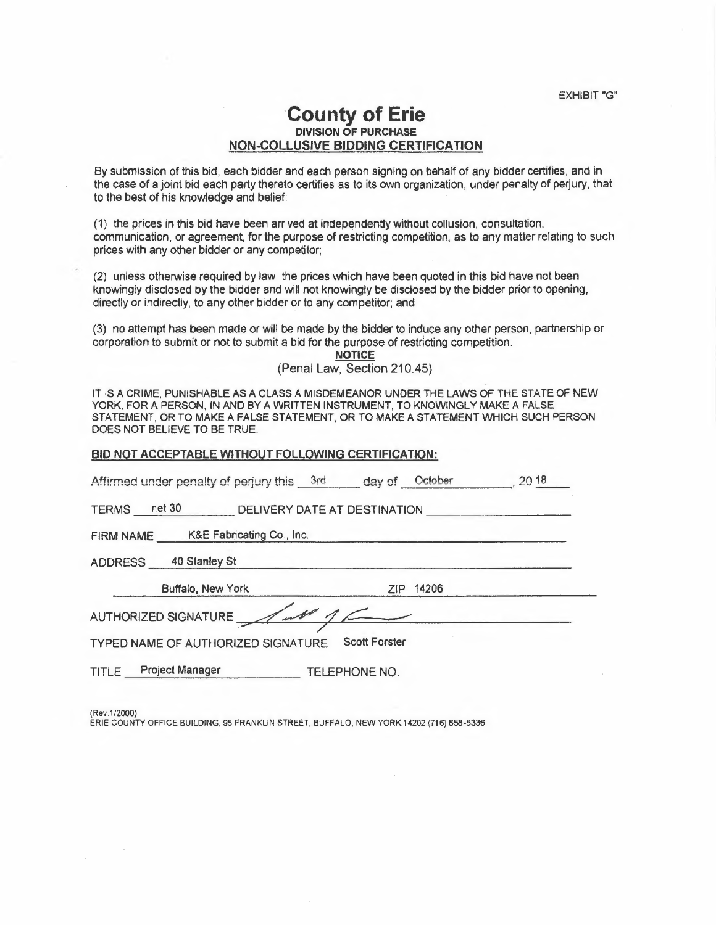EXHIBIT"G"

# **-county of Erie DIVISION OF PURCHASE NON-COLLUSIVE BIDDING CERTIFICATION**

By submission of this bid, each bidder and each person signing on behalf of any bidder certifies, and in the case of a joint bid each party thereto certifies as to its own organization, under penalty of perjury, that to the best of his knowledge and belief:

(1) the prices in this bid have been arrived at independently without collusion, consultation, communication, or agreement, for the purpose of restricting competition, as to any matter relating to such prices with any other bidder or any competitor;

(2) unless otherwise required by law, the prices which have been quoted in this bid have not been knowingly disclosed by the bidder and will not knowingly be disclosed by the bidder prior to opening, directly or indirectly, to any other bidder or to any competitor; and

(3) no attempt has been made or will be made by the bidder to induce any other person, partnership or corporation to submit or not to submit a bid for the purpose of restricting competition.

> **. NOTICE**  (Penal Law, Section 210.45)

IT IS A CRIME, PUNISHABLE AS A CLASS A MISDEMEANOR UNDER THE LAWS OF THE STATE OF NEW YORK, FOR A PERSON, IN AND BY A WRITTEN INSTRUMENT, TO KNOWINGLY MAKE A FALSE STATEMENT, OR TO MAKE A FALSE STATEMENT, OR TO MAKE A STATEMENT WHICH SUCH PERSON DOES NOT BELIEVE TO BE TRUE.

#### BID NOT ACCEPTABLE WITHOUT FOLLOWING CERTIFICATION:

Affirmed under penalty of perjury this \_\_3rd \_\_\_\_ day of \_\_October \_\_\_\_\_\_\_, 20 18 , 20 18 TERMS net 30 DELIVERY DATE AT DESTINATION FIRM NAME K&E Fabricating Co., Inc. ADDRESS 40 Stanley St Buffalo, New York ZIP 14206 FIRM NAME K&E Fabricating Co., Inc.<br>ADDRESS 40 Stanley St<br>AUTHORIZED SIGNATURE<br>AUTHORIZED SIGNATURE<br>TYPED NAME OF AUTHORIZED SIGNATURE Scott Forster TYPED **NAME** OF AUTHORIZED SIGNATURE Scott **Forster**  TITLE Project Manager TELEPHONE NO.

(Rev.1/2000)

ERIE COUNTY OFFICE BUILDING, 95 FRANKLIN STREET, BUFFALO, NEW YORK 14202 (716) 858-6336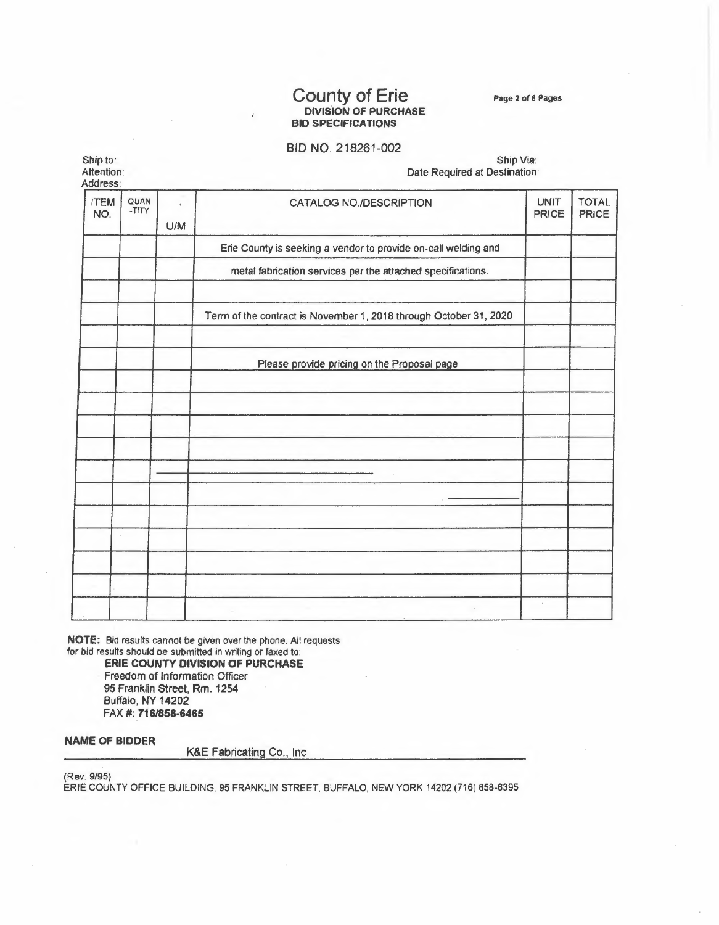# County of Erie **DIVISION OF PURCHASE BID SPECIFICATIONS**

**Page 2** of **6 Pages** 

# BID NO. 218261-002

Ship to: Attention:

Ship Via: Date Required at Destination:

| Address:           |               |                     |                                                                   |                             |                       |
|--------------------|---------------|---------------------|-------------------------------------------------------------------|-----------------------------|-----------------------|
| <b>ITEM</b><br>NO. | QUAN<br>-TITY | $\mathbf{C}$<br>U/M | CATALOG NO./DESCRIPTION                                           | <b>UNIT</b><br><b>PRICE</b> | <b>TOTAL</b><br>PRICE |
|                    |               |                     | Erie County is seeking a vendor to provide on-call welding and    |                             |                       |
|                    |               |                     | metal fabrication services per the attached specifications.       |                             |                       |
|                    |               |                     | Term of the contract is November 1, 2018 through October 31, 2020 |                             |                       |
|                    |               |                     | Please provide pricing on the Proposal page                       |                             |                       |
|                    |               |                     |                                                                   |                             |                       |
|                    |               |                     |                                                                   |                             |                       |
|                    |               |                     |                                                                   |                             |                       |
|                    |               |                     |                                                                   |                             |                       |
|                    |               |                     |                                                                   |                             |                       |
|                    |               |                     |                                                                   |                             |                       |
|                    |               |                     |                                                                   |                             |                       |

**NOTE:** Bid results cannot be given over the phone. All requests for bid results should be submitted in writing or faxed to:

**ERIE COUNTY DIVISION OF PURCHASE**  Freedom of Information Officer 95 Franklin Street, Rm. 1254 Buffalo, NY 14202 FAX#: **716/858-6465** 

# **NAME OF BIDDER**

K&E Fabricating Co., Inc

(Rev. 9/95)

ERIE COUNTY OFFICE BUILDING, 95 FRANKLIN STREET, BUFFALO, NEW YORK 14202 (716) 858-6395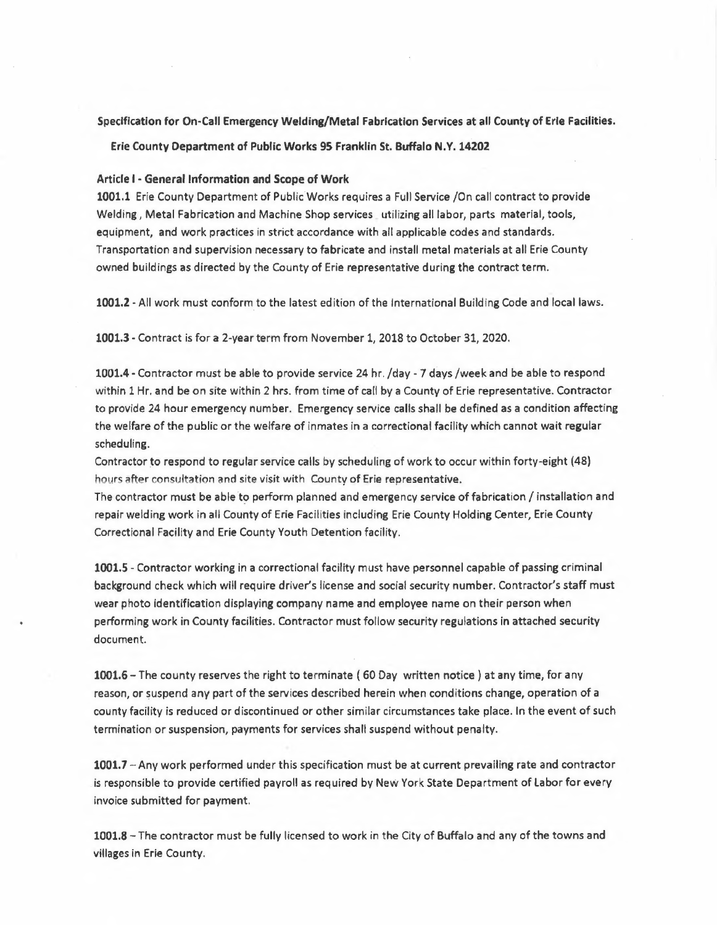#### **Specification for On-Call Emergency Welding/Metal Fabrication Services at all County of Erle Facilities.**

**Erie** County **Department of Public Works 95** Franklin **St. Buffalo N. Y. 14202** 

#### **Article** I - **General Information and Scope of Work**

1001.1 Erie County Department of PublicWorks requires a Full Service /On call contract to provide Welding, Metal Fabrication and Machine Shop services utilizing all labor, parts material, tools, equipment, and work practices in strict accordance with all applicable codes and standards. Transportation and supervision necessary to fabricate and install metal materials at all Erie County owned buildings as directed by the County of Erie representative during the contract term.

**1001.2 -** All work must conform to the latest edition of the International Building Code and local laws.

**1001.3 -** Contract is for a 2-year term from November 1, 2018 to October 31, 2020.

1001.4 - Contractor must be able to provide service 24 hr. /day - 7 days /week and be able to respond within 1 Hr. and be on site within 2 hrs. from time of call by a County of Erie representative. Contractor to provide 24 hour emergency number. Emergency service calls shall be defined as a condition affecting the welfare of the public or the welfare of inmates in a correctional facility which cannot wait regular scheduling.

Contractor to respond to regular service calls by scheduling of work to occur within forty-eight (48) hours after consultation and site visit with County of Erie representative.

The contractor must be able to perform planned and emergency service offabrícation / installation and repair welding work in all County of Erie Facilities including Erie County Holding Center, Erie County Correctional Facility and Erie County Youth Detention facility.

**1001.5 -** Contractor working in a correctional facility must have personnel capable of passing criminal background check which will require driver's license and social security number. Contractor's staff must wear photo identification displaying company name and employee name on their person when performing work in County facilities. Contractor must follow security regulations in attached security document.

**1001.6-** The county reserves the right to terminate ( 60 Day written notice) at any time, for any reason, or suspend any part of the services described herein when conditions change, operation of a county facility is reduced or discontinued or other similar circumstances take place. In the event of such termination or suspension, payments for services shall suspend without penalty.

**1001.7** -Any work performed under this specification must be at current prevailing rate and contractor . is responsible to provide certified payroll as required by New York **State** Depa rt ment of Labor for every invoice submitted for payment.

**1001.8 -** The contractor must be fully licensed to work in the City of Buffalo and any of the towns and villages in Erie County.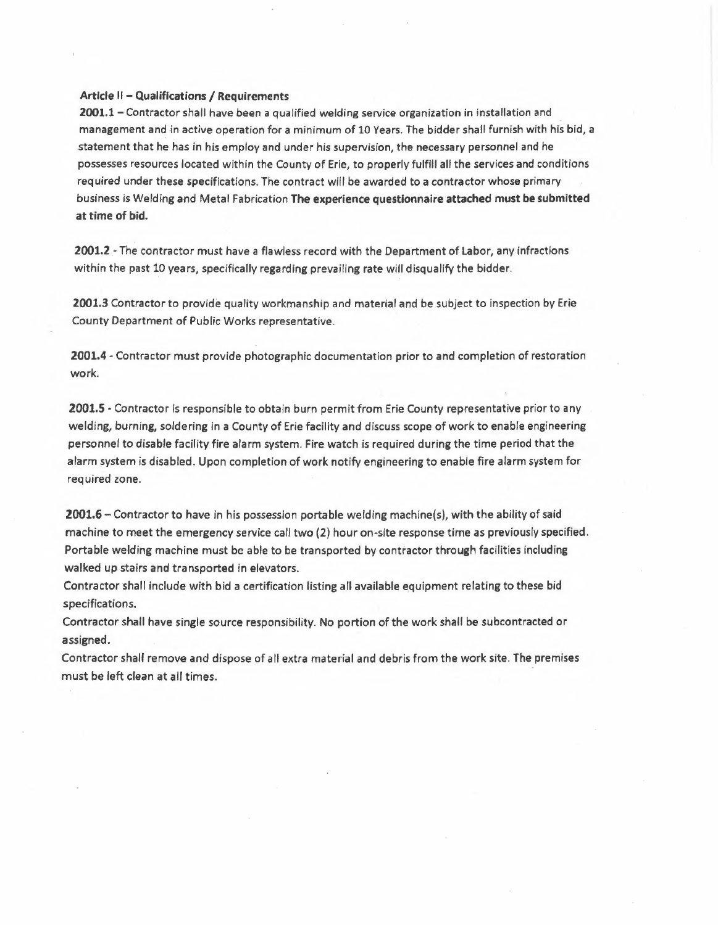### Article II - Qualifications / Requirements

**2001.1 -** Contractor shall have been a qualified welding service organization in installation and management and in active operation for a minimum of 10 Years. The bidder shall furnish with his bid, a statement that he has in his employ and under his supervision, the necessary personnel and he possesses resources located within the County *of* Erie, to properly fulfill all the services and conditions required under these specifications. The contract will be awarded to a contractor whose primary business is Welding and Metal Fabrication The experience questionnaire attached must be submitted at time of bid.

**2001.2 -** The contractor must have a flawless record with the Department of Labor, any infractions within the past 10 years, specifically regarding prevailing rate will disqualify the bidder.

**2001.3** Contractor to provide quality workmanship and material and be subject to inspection by Erie County Department of Public Works representative.

**2001.4 -** Contractor must provide photographic documentation prior to and completion of restoration work.

**2001.5 -** Contractor is responsible to obtain burn permit from Erie County representative prior to any welding, burning, soldering in **a** County of Erie facility and discuss scope of work to enable engineering personnel to disable facility fire alarm system. Fire watch is required during the time period that the alarm system is disabled. Upon completion of work notify engineering to enable fire alarm system for required zone.

**2001.6 -** Contractor to have in his possession portable welding machine(s), with the ability of said machine to meet the emergency service call two (2) hour on-site response time as previously specified. Portable welding machine must be able to be transported by contractor through facilities including walked up stairs and transported in elevators.

Contractor shall include with bid a certification listing all available equipment relating to these bid specifications.

Contractor shall have single source responsibility. No portion of the work shall be subcontracted or assigned.

Contractor shall remove and dispose of all extra material and debris from the work site. The premises must be left clean at all times.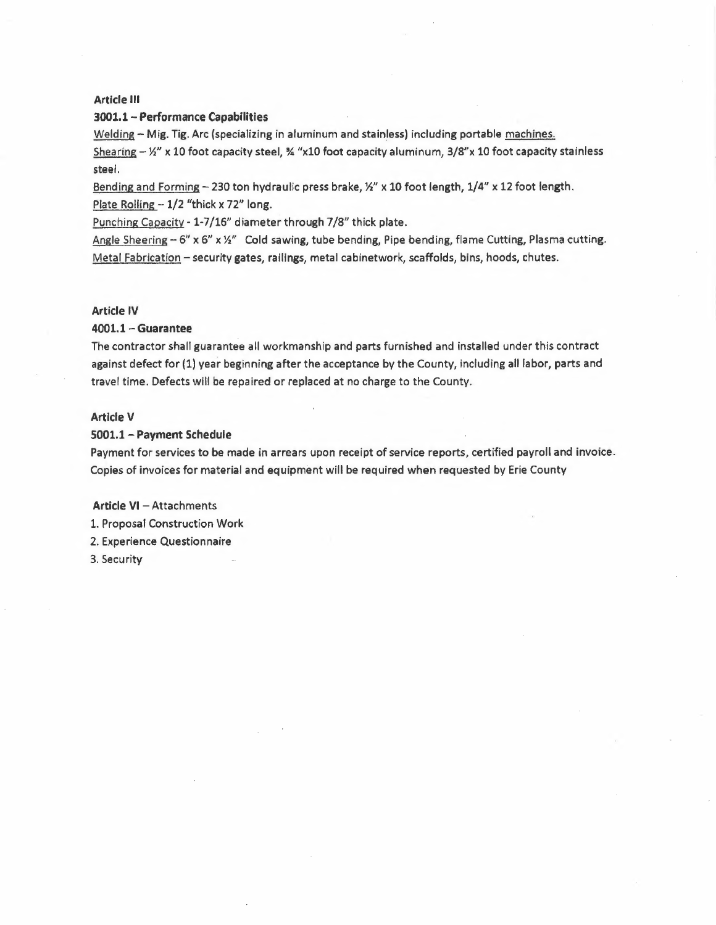### **Article** Ill

#### **3001,1- Performance Capabilities**

Welding - Mig. Tig. Arc (specializing in aluminum and stainless) including portable machines.

Shearing  $-$  ½" x 10 foot capacity steel,  $\frac{3}{4}$  "x10 foot capacity aluminum, 3/8"x 10 foot capacity stainless steel.

Bending and Forming - 230 ton hydraulic press brake, 1/2" x 10 foot length, 1/4" x 12 foot length. Plate Rolling  $-1/2$  "thick x 72" long.

Punching Capacity-1-7/16" diameter through 7/8" thick plate.

Angle Sheering - 6" x 6" x ½" Cold **sawing,** tube bending, Pipe bending, flame Cutting, Plasma cutting. Metal Fabrication - security **gates, railings,** metal cabinetwork, scaffolds, bins, hoods, chutes.

# **Article IV**

# **4001.1 - Guarantee**

The contractor shall guarantee all workmanship and parts furnished and installed under this contract against defect for (1) year beginning after the acceptance by the County, including all labor, parts and travel time. Defects will be repaired or replaced at no charge to the County.

### **Article V**

#### 5001.1 - Payment Schedule

Payment for services to be made in arrears upon receipt of service reports, certified payroll and invoice. Copies of invoices for material and equipment will be required when requested by Erie County

**Article VI - Attachments** 

l. Proposal Construction Work

2. Experience Questionnaire

3. Security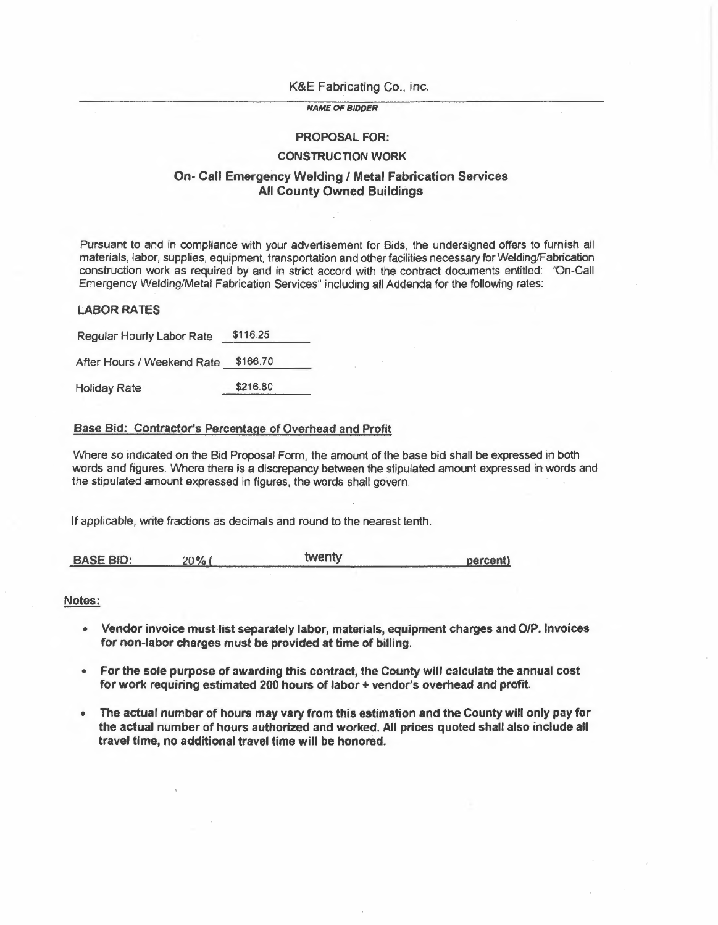#### K&E Fabricating Co., Inc.

## *NAME OF BIDDER*

# **PROPOSAL FOR:**

# **CONSTRUCTION WORK**

# **On- Call Emergency Welding / Metal Fabrication Services All County Owned Buildings**

Pursuant to and in compliance with your advertisement for Bids, the undersigned offers to furnish all materials, labor, supplies, equipment, transportation and other facilities necessary for Welding/Fabrication construction work as required by and in strict accord with the contract documents entitled: 'On-Call Emergency Welding/Metal Fabrication Services" including all Addenda for the following rates:

# **LABOR RATES**

Regular Hourly Labor Rate \$116.25

After Hours / Weekend Rate \$166.70

Holiday Rate \$216.80

# Base Bid: Contractor's Percentage of Overhead and Profit

Where so indicated on the Bid Proposal Form, the amount of the base bid shall be expressed in both words and figures. Where there is a discrepancy between the stipulated amount expressed in words and the stipulated amount expressed in figures, the words shall govern.

If applicable, write fractions as decimals and round to the nearest tenth.

| <b>BASE BID:</b> | $7\%$ . | twentv | percent) |
|------------------|---------|--------|----------|
|                  |         |        |          |

#### **Notes:**

- **Vendor invoice must list separately labor, materials, equipment charges and 0/P. Invoices for non-labor charges must be provided at time of billing.**
- **For the sole purpose of awarding this contract, the County will calculate the annual cost for work requiring estimated 200 hours of labor+ vendor's overhead and profit.**
- **The actual number of hours may vary from this estimation and the County will only pay for the actual number of hours authorized and worked. All prices quoted shall also include all travel time, no additional travel time will be honored.**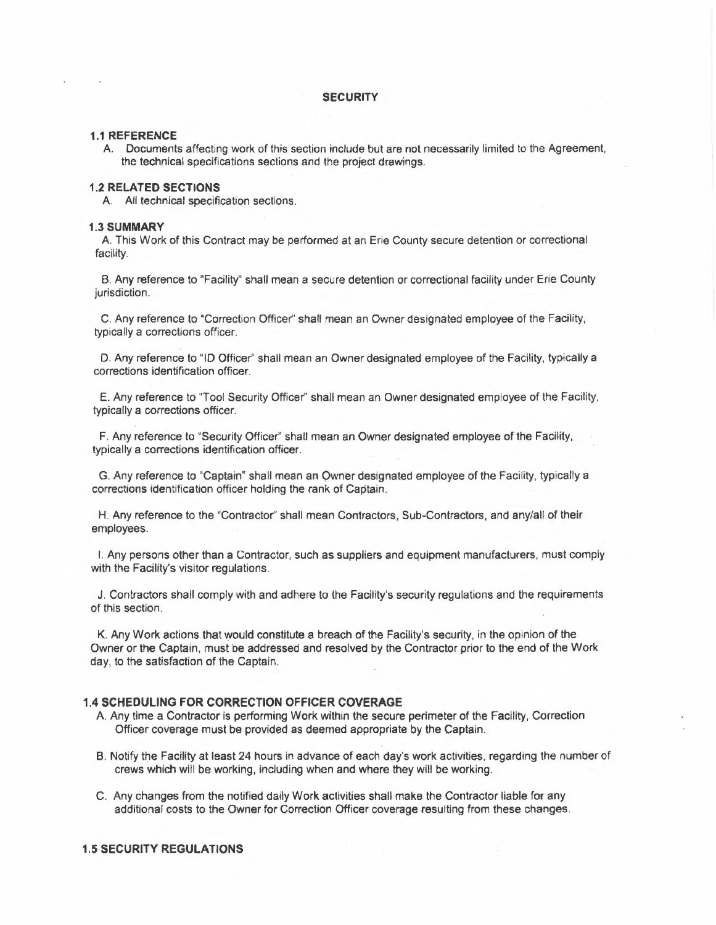#### **SECURITY**

#### **1.1 REFERENCE**

A. Documents affecting work of this section include but are not necessarily limited to the Agreement, the technical specifications sections and the project drawings.

## **1.2 RELATED SECTIONS**

A. All technical specification sections.

#### **1.3SUMMARY**

A This Work of this Contract may be performed at an Erie County secure detention or correctional facility.

B. Any reference to "Facility" shall mean a secure detention or correctional facility under Erie County jurisdiction.

C. Any reference to "Correction Officer" shall mean an Owner designated employee of the Facility, typically a corrections officer.

D. Any reference to "ID Officer'' shall mean an Owner designated employee of the Facility, typically a corrections identification officer.

E. Any reference to "Tool Security Officer" shall mean an Owner designated employee of the Facility, typically a corrections officer.

F. Any reference to "Security Officer" shall mean an Owner designated employee of the Facility, typically a corrections identification officer.

G. Any reference to "Captain" shall mean an Owner designated employee of the Facility, typically a corrections identification officer holding the rank of Captain.

H. Any reference to the "Contractor" shall mean Contractors, Sub-Contractors, and any/all of their employees.

I. Any persons other than a Contractor, such as suppliers and equipment manufacturers, must comply with the Facility's visitor regulations.

J. Contractors shall comply with and adhere to the Facility's security regulations and the requirements of this section.

K. Any Work actions that would constitute a breach of the Facility's security, in the opinion of the Owner or the Captain, must be addressed and resolved by the Contractor prior to the end of the Work day, to the satisfaction of the Captain.

# **1.4 SCHEDULING FOR CORRECTION OFFICER COVERAGE**

- A. Any time a Contractor is performing Work within the secure perimeter of the Facility, Correction Officer coverage must be provided as deemed appropriate by the Captain.
- B. Notify the Facility at least 24 hours in advance of each day's work activities, regarding the number of crews which will be working, including when and where they will be working.
- C. Any changes from the notified daily Work activities shall make the Contractor liable for any additional costs to the Owner for Correction Officer coverage resulting from these changes.

#### **1.5 SECURITY REGULATIONS**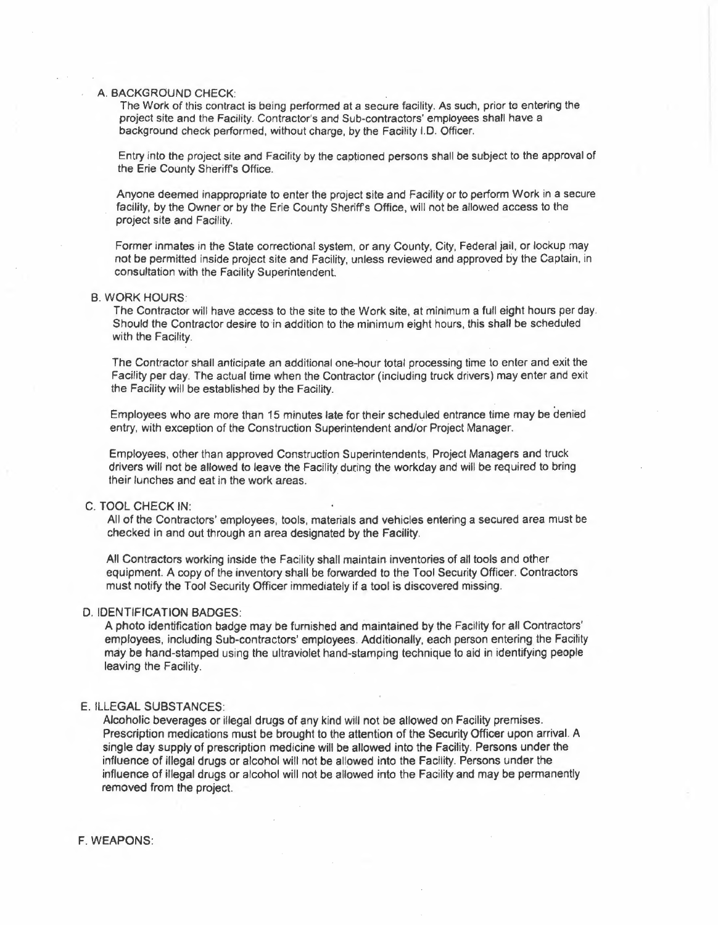### A. BACKGROUND CHECK:

The Work of this contract is being performed at a secure facility. As such, prior to entering the project site and the Facility. Contractor's and Sub-contractors' employees shall have a background check performed, without charge, by the Facility I.O. Officer.

Entry into the project site and Facility by the captioned persons shall be subject to the approval of the Erie County Sheriff's Office.

Anyone deemed inappropriate to enter the project site and Facility or to perform Work in a secure facility, by the Owner or by the Erie County Sheriff's Office, will not be allowed access to the project site and Facility.

Former inmates in the State correctional system, or any County, City, Federal jail, or lockup may not be permitted inside project site and Facility, unless reviewed and approved by the Captain, in consultation with the Facility Superintendent.

#### B. WORK HOURS:

The Contractor will have access to the site to the Work site, at minimum a full eight hours per day. Should the Contractor desire to in addition to the minimum eight hours, this shall be scheduled with the Facility.

The Contractor shall anticipate an additional one-hour total processing time to enter and exit the Facifity per day. The actual time when the Contractor (including truck drivers) may enter and exit the Facility will be established by the Facility.

Employees who are more than 15 minutes late for their scheduled entrance time may be denied entry, with exception of the Construction Superintendent and/or Project Manager.

Employees, other than approved Construction Superintendents, Project Managers and truck drivers will not be allowed to leave the Facility during the workday and will be required to bring their lunches and eat in the work areas.

# C. TOOL CHECK IN:

All of the Contractors' employees, tools, materials and vehicles entering a secured area must be checked in and out through an area designated by the Facility.

All Contractors working inside the Facility shall maintain inventories of all tools and other equipment. A copy of the inventory shall be forwarded to the Tool Security Officer. Contractors must notify the Tool Security Officer immediately if a tool is discovered missing.

#### D. IDENTIFICATION BADGES:

A photo identification badge may be furnished and maintained by the Facility for all Contractors' employees, including Sub-contractors' employees. Additionally, each person entering the Facility may be hand-stamped using the ultraviolet hand-stamping technique to aid in identifying people leaving the Facility.

#### E. ILLEGAL SUBSTANCES:

Alcoholic beverages or illegal drugs of any kind will not be allowed on Facility premises. Prescription medications must be brought to the attention of the Security Officer upon arrival. A single day supply of prescription medicine will be allowed into the Facility. Persons under the influence of illegal drugs or alcohol will not be allowed into the Facility. Persons under the influence of illegal drugs or alcohol will not be allowed into the Facility and may be permanently removed from the project.

F. **WEAPONS:**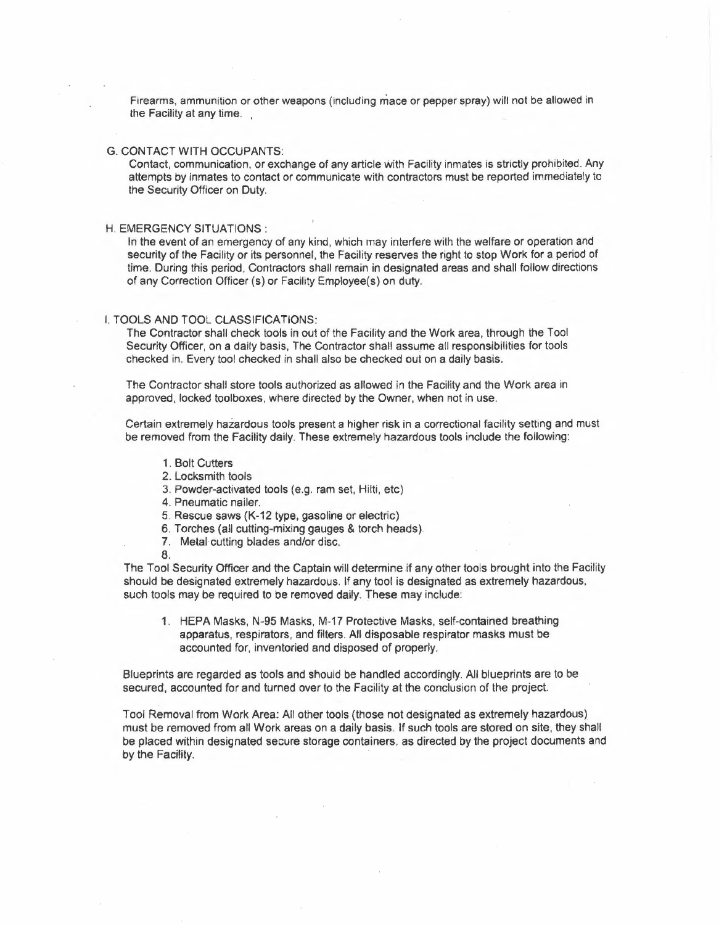Firearms, ammunition or other weapons (including mace or pepper spray) will not be allowed in the Facility at any time.

#### G. CONTACT WITH OCCUPANTS:

Contact, communication, or exchange of any article with Facility inmates is strictly prohibited. Any attempts by inmates to contact or communicate with contractors must be reported immediately to the Security Officer on Duty.

#### H. EMERGENCY SITUATIONS:

In the event of an emergency of any kind, which may interfere with the welfare or operation and security of the Facility or its personnel, the Facility reserves the right to stop Work for a period of time. During this period, Contractors shall remain in designated areas and shall follow directions of any Correction Officer (s) or Facility Employee(s) on duty.

## I. TOOLS AND TOOL **CLASSIFICATIONS:**

The Contractor shall check tools in out of the Facility and the Work area, through the Tool Security Officer, on a daily basis, The Contractor shall assume all responsibilities for tools checked in. Every tool checked in shall also be checked out on a daily **basis.** 

The Contractor shall store tools authorized as allowed in the Facility and the Work area in approved, locked toolboxes, where directed by the Owner, when not in use.

Certain extremely hazardous tools present a higher risk in a correctional facility setting and must be removed from the Facility daily. These extremely hazardous tools include the following:

- 1. Bolt Cutters
- 2. Locksmith tools
- 3. Powder-activated tools (e.g. ram set, Hilti, etc)
- 4. Pneumatic nailer.
- 5. Rescue saws (K-12 type, gasoline or electric)
- 6. Torches (all cutting-mixing gauges & torch heads).
- 7. Metal cutting blades and/or disc.
- 8.

The Tool Security Officer and the Captain will determine if any other tools brought into the Facility should be designated extremely hazardous. If any tool is designated as extremely hazardous, such tools may be required to be removed daily. These may include:

1. HEPA Masks, N-95 Masks, M-17 Protective Masks, self-contained breathing apparatus, respirators, and filters. All disposable respirator masks must be accounted for, inventoried and disposed of properly.

Blueprints are regarded as tools and should be handled accordingly. All blueprints are to be secured, accounted for and turned over to the Facility at the conclusion of the project.

Tool Removal from Work Area: All other tools (those not designated as extremely hazardous) must be removed from all Work areas on a daily basis. If such tools are stored on site, they shall be placed within designated secure storage containers, as directed by the project documents and by the Facility.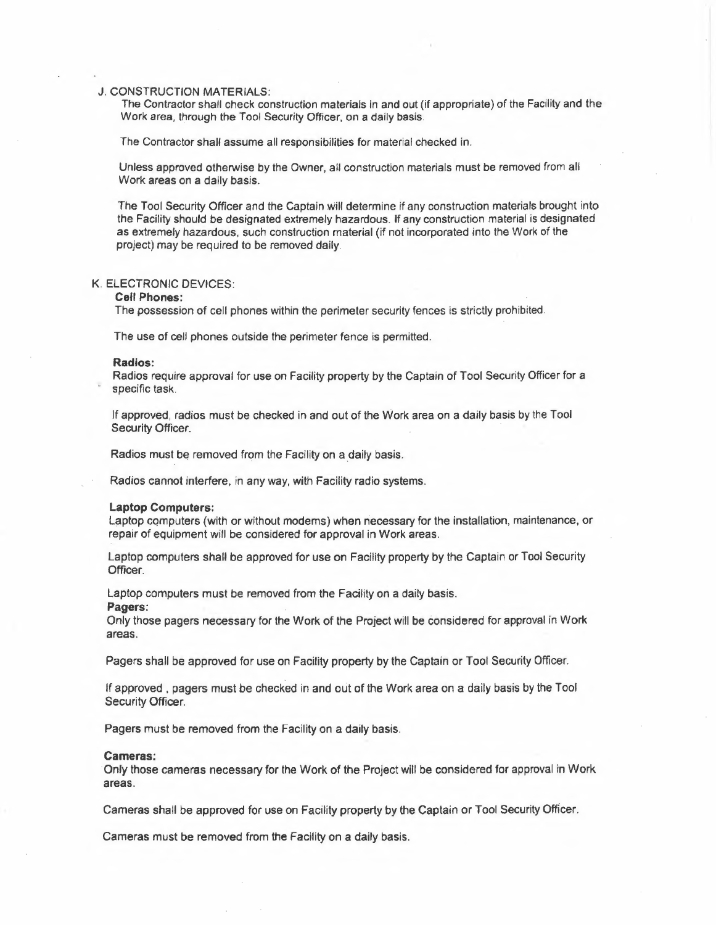#### J. CONSTRUCTION MATERIALS:

The Contractor shall check construction materials in and out (if appropriate) of the Facility and the Work area, through the Tool Security Officer, on a daily basis.

The Contractor shall assume all responsibilities *for* material checked in.

Unless approved otherwise by the Owner, all construction materials must be removed from all Work areas on a daily basis.

The Tool Security Officer and the Captain will determine if any construction materials brought into the Facility should be designated extremely hazardous. If any construction material is designated as extremely hazardous, such construction material (if not incorporated into the Work of the project) may be required to be removed daily.

# K. ELECTRONIC DEVICES:

## **Cell Phones:**

The possession of cell phones within the perimeter security fences is strictly prohibited.

The use of cell phones outside the perimeter fence is permitted.

#### **Radios:**

Radios require approval for use on Facility property by the Captain of Tool Security Officer for a specific task.

If approved, radios must be checked in and out of the Work area on a daily basis by the Tool Security Officer.

Radios must be removed from the Facility on a daily basis.

Radios cannot interfere, in any way, with Facility radio systems.

#### **Laptop Computers:**

Laptop computers (with or without modems) when necessary for the installation, maintenance, or repair of equipment will be considered for approval in Work areas.

Laptop computers shall be approved for use on Facility property by the Captain or Tool Security Officer.

Laptop computers must be removed from the Facility on a daily basis.

#### **Pagers:**

Only those pagers necessary for the Work of the Project will be considered for approval in Work areas.

Pagers shall be approved for use on Facilíty property by the Captain or Tool Security Officer.

If approved, pagers must be checked in and out of the Work area on a daily basis by the Tool Security Officer.

Pagers must be removed from the Facility on a daily basis.

#### **Cameras:**

Only those cameras necessary for the Work of the Project will be considered for approval in Work areas.

Cameras shall be approved for use on Facility property by the Captain or Tool Security Officer.

Cameras must be removed from the Facility on a daily basis.